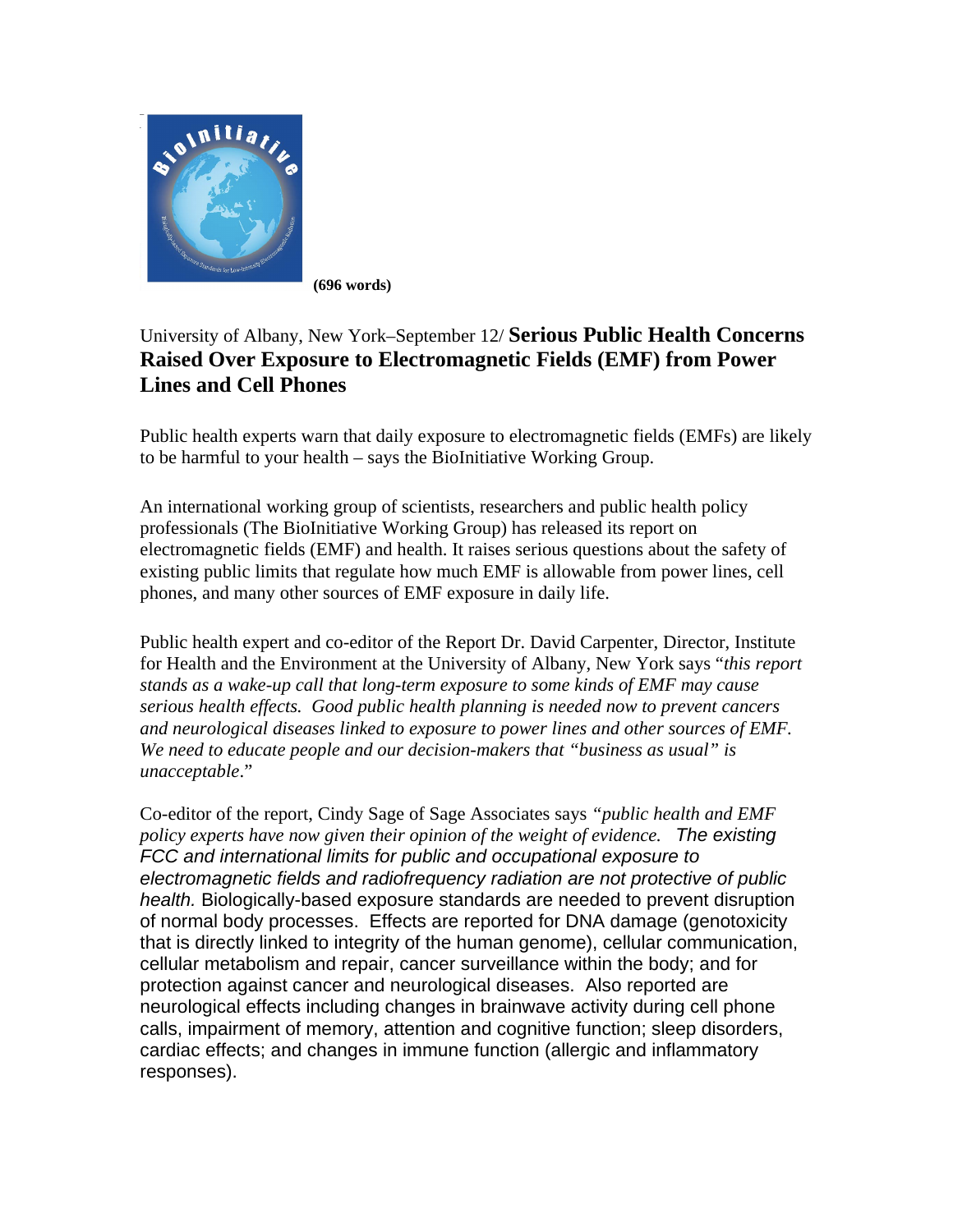

**(696 words)** 

## University of Albany, New York–September 12/ **Serious Public Health Concerns Raised Over Exposure to Electromagnetic Fields (EMF) from Power Lines and Cell Phones**

Public health experts warn that daily exposure to electromagnetic fields (EMFs) are likely to be harmful to your health – says the BioInitiative Working Group.

An international working group of scientists, researchers and public health policy professionals (The BioInitiative Working Group) has released its report on electromagnetic fields (EMF) and health. It raises serious questions about the safety of existing public limits that regulate how much EMF is allowable from power lines, cell phones, and many other sources of EMF exposure in daily life.

Public health expert and co-editor of the Report Dr. David Carpenter, Director, Institute for Health and the Environment at the University of Albany, New York says "*this report stands as a wake-up call that long-term exposure to some kinds of EMF may cause serious health effects. Good public health planning is needed now to prevent cancers and neurological diseases linked to exposure to power lines and other sources of EMF. We need to educate people and our decision-makers that "business as usual" is unacceptable*."

Co-editor of the report, Cindy Sage of Sage Associates says *"public health and EMF policy experts have now given their opinion of the weight of evidence. The existing FCC and international limits for public and occupational exposure to electromagnetic fields and radiofrequency radiation are not protective of public health.* Biologically-based exposure standards are needed to prevent disruption of normal body processes. Effects are reported for DNA damage (genotoxicity that is directly linked to integrity of the human genome), cellular communication, cellular metabolism and repair, cancer surveillance within the body; and for protection against cancer and neurological diseases. Also reported are neurological effects including changes in brainwave activity during cell phone calls, impairment of memory, attention and cognitive function; sleep disorders, cardiac effects; and changes in immune function (allergic and inflammatory responses).